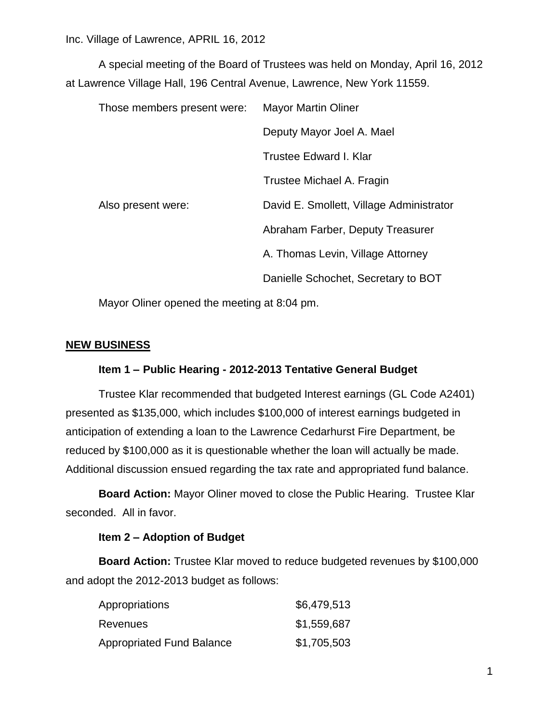Inc. Village of Lawrence, APRIL 16, 2012

A special meeting of the Board of Trustees was held on Monday, April 16, 2012 at Lawrence Village Hall, 196 Central Avenue, Lawrence, New York 11559.

| Those members present were: | <b>Mayor Martin Oliner</b>               |
|-----------------------------|------------------------------------------|
|                             | Deputy Mayor Joel A. Mael                |
|                             | Trustee Edward I. Klar                   |
|                             | Trustee Michael A. Fragin                |
| Also present were:          | David E. Smollett, Village Administrator |
|                             | Abraham Farber, Deputy Treasurer         |
|                             | A. Thomas Levin, Village Attorney        |
|                             | Danielle Schochet, Secretary to BOT      |

Mayor Oliner opened the meeting at 8:04 pm.

## **NEW BUSINESS**

## **Item 1 – Public Hearing - 2012-2013 Tentative General Budget**

Trustee Klar recommended that budgeted Interest earnings (GL Code A2401) presented as \$135,000, which includes \$100,000 of interest earnings budgeted in anticipation of extending a loan to the Lawrence Cedarhurst Fire Department, be reduced by \$100,000 as it is questionable whether the loan will actually be made. Additional discussion ensued regarding the tax rate and appropriated fund balance.

**Board Action:** Mayor Oliner moved to close the Public Hearing. Trustee Klar seconded. All in favor.

## **Item 2 – Adoption of Budget**

**Board Action:** Trustee Klar moved to reduce budgeted revenues by \$100,000 and adopt the 2012-2013 budget as follows:

| Appropriations            | \$6,479,513 |
|---------------------------|-------------|
| Revenues                  | \$1,559,687 |
| Appropriated Fund Balance | \$1,705,503 |